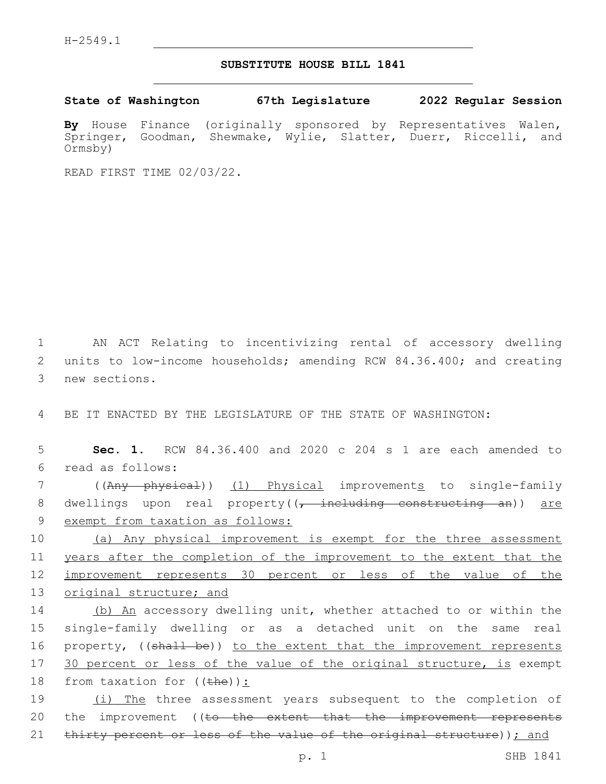## **SUBSTITUTE HOUSE BILL 1841**

**State of Washington 67th Legislature 2022 Regular Session**

**By** House Finance (originally sponsored by Representatives Walen, Springer, Goodman, Shewmake, Wylie, Slatter, Duerr, Riccelli, and Ormsby)

READ FIRST TIME 02/03/22.

1 AN ACT Relating to incentivizing rental of accessory dwelling 2 units to low-income households; amending RCW 84.36.400; and creating 3 new sections.

4 BE IT ENACTED BY THE LEGISLATURE OF THE STATE OF WASHINGTON:

5 **Sec. 1.** RCW 84.36.400 and 2020 c 204 s 1 are each amended to read as follows:6

7 ((Any physical)) (1) Physical improvements to single-family 8 dwellings upon real property((, including constructing an)) are 9 exempt from taxation as follows:

 (a) Any physical improvement is exempt for the three assessment years after the completion of the improvement to the extent that the improvement represents 30 percent or less of the value of the original structure; and

14 (b) An accessory dwelling unit, whether attached to or within the 15 single-family dwelling or as a detached unit on the same real 16 property, ((shall be)) to the extent that the improvement represents 17 30 percent or less of the value of the original structure, is exempt 18 from taxation for  $((the h e))$ :

19 (i) The three assessment years subsequent to the completion of 20 the improvement ((to the extent that the improvement represents 21 thirty percent or less of the value of the original structure)); and

p. 1 SHB 1841